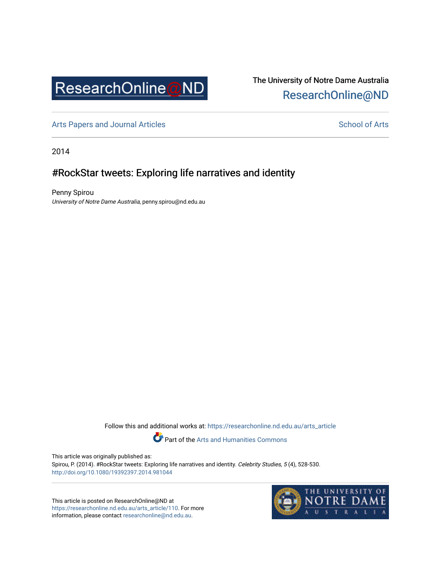

## The University of Notre Dame Australia [ResearchOnline@ND](https://researchonline.nd.edu.au/)

[Arts Papers and Journal Articles](https://researchonline.nd.edu.au/arts_article) and [School of Arts](https://researchonline.nd.edu.au/arts) School of Arts

2014

## #RockStar tweets: Exploring life narratives and identity

Penny Spirou University of Notre Dame Australia, penny.spirou@nd.edu.au

Follow this and additional works at: [https://researchonline.nd.edu.au/arts\\_article](https://researchonline.nd.edu.au/arts_article?utm_source=researchonline.nd.edu.au%2Farts_article%2F110&utm_medium=PDF&utm_campaign=PDFCoverPages) 

Part of the [Arts and Humanities Commons](http://network.bepress.com/hgg/discipline/438?utm_source=researchonline.nd.edu.au%2Farts_article%2F110&utm_medium=PDF&utm_campaign=PDFCoverPages) 

This article was originally published as:

Spirou, P. (2014). #RockStar tweets: Exploring life narratives and identity. Celebrity Studies, 5 (4), 528-530. <http://doi.org/10.1080/19392397.2014.981044>

This article is posted on ResearchOnline@ND at [https://researchonline.nd.edu.au/arts\\_article/110](https://researchonline.nd.edu.au/arts_article/110). For more information, please contact [researchonline@nd.edu.au.](mailto:researchonline@nd.edu.au)

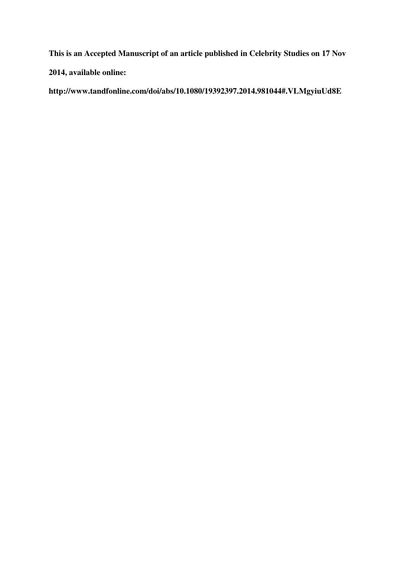**This is an Accepted Manuscript of an article published in Celebrity Studies on 17 Nov** 

**2014, available online:** 

**http://www.tandfonline.com/doi/abs/10.1080/19392397.2014.981044#.VLMgyiuUd8E**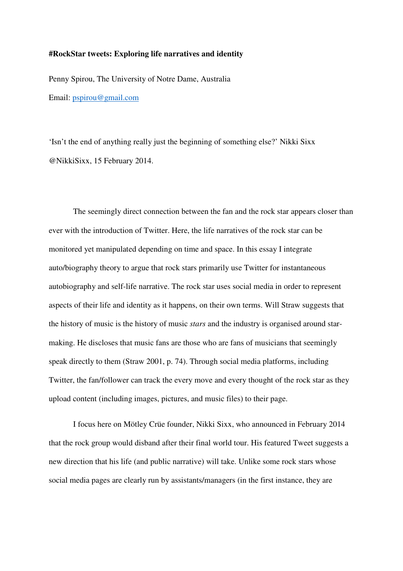## **#RockStar tweets: Exploring life narratives and identity**

Penny Spirou, The University of Notre Dame, Australia Email: pspirou@gmail.com

'Isn't the end of anything really just the beginning of something else?' Nikki Sixx @NikkiSixx, 15 February 2014.

The seemingly direct connection between the fan and the rock star appears closer than ever with the introduction of Twitter. Here, the life narratives of the rock star can be monitored yet manipulated depending on time and space. In this essay I integrate auto/biography theory to argue that rock stars primarily use Twitter for instantaneous autobiography and self-life narrative. The rock star uses social media in order to represent aspects of their life and identity as it happens, on their own terms. Will Straw suggests that the history of music is the history of music *stars* and the industry is organised around starmaking. He discloses that music fans are those who are fans of musicians that seemingly speak directly to them (Straw 2001, p. 74). Through social media platforms, including Twitter, the fan/follower can track the every move and every thought of the rock star as they upload content (including images, pictures, and music files) to their page.

I focus here on Mötley Crüe founder, Nikki Sixx, who announced in February 2014 that the rock group would disband after their final world tour. His featured Tweet suggests a new direction that his life (and public narrative) will take. Unlike some rock stars whose social media pages are clearly run by assistants/managers (in the first instance, they are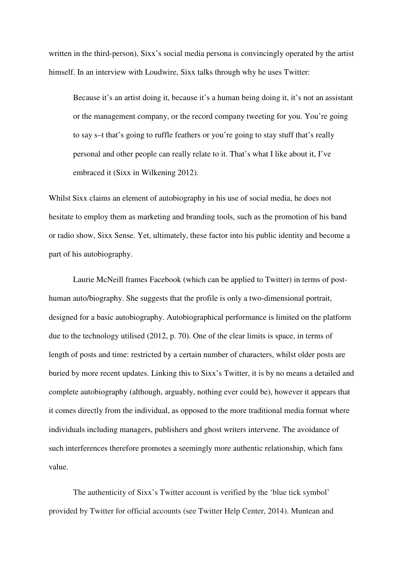written in the third-person), Sixx's social media persona is convincingly operated by the artist himself. In an interview with Loudwire, Sixx talks through why he uses Twitter:

Because it's an artist doing it, because it's a human being doing it, it's not an assistant or the management company, or the record company tweeting for you. You're going to say s–t that's going to ruffle feathers or you're going to stay stuff that's really personal and other people can really relate to it. That's what I like about it, I've embraced it (Sixx in Wilkening 2012).

Whilst Sixx claims an element of autobiography in his use of social media, he does not hesitate to employ them as marketing and branding tools, such as the promotion of his band or radio show, Sixx Sense. Yet, ultimately, these factor into his public identity and become a part of his autobiography.

Laurie McNeill frames Facebook (which can be applied to Twitter) in terms of posthuman auto/biography. She suggests that the profile is only a two-dimensional portrait, designed for a basic autobiography. Autobiographical performance is limited on the platform due to the technology utilised (2012, p. 70). One of the clear limits is space, in terms of length of posts and time: restricted by a certain number of characters, whilst older posts are buried by more recent updates. Linking this to Sixx's Twitter, it is by no means a detailed and complete autobiography (although, arguably, nothing ever could be), however it appears that it comes directly from the individual, as opposed to the more traditional media format where individuals including managers, publishers and ghost writers intervene. The avoidance of such interferences therefore promotes a seemingly more authentic relationship, which fans value.

The authenticity of Sixx's Twitter account is verified by the 'blue tick symbol' provided by Twitter for official accounts (see Twitter Help Center, 2014). Muntean and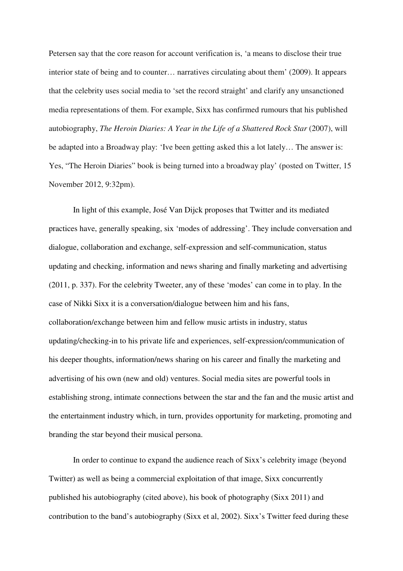Petersen say that the core reason for account verification is, 'a means to disclose their true interior state of being and to counter… narratives circulating about them' (2009). It appears that the celebrity uses social media to 'set the record straight' and clarify any unsanctioned media representations of them. For example, Sixx has confirmed rumours that his published autobiography, *The Heroin Diaries: A Year in the Life of a Shattered Rock Star* (2007), will be adapted into a Broadway play: 'Ive been getting asked this a lot lately… The answer is: Yes, "The Heroin Diaries" book is being turned into a broadway play' (posted on Twitter, 15 November 2012, 9:32pm).

In light of this example, José Van Dijck proposes that Twitter and its mediated practices have, generally speaking, six 'modes of addressing'. They include conversation and dialogue, collaboration and exchange, self-expression and self-communication, status updating and checking, information and news sharing and finally marketing and advertising (2011, p. 337). For the celebrity Tweeter, any of these 'modes' can come in to play. In the case of Nikki Sixx it is a conversation/dialogue between him and his fans, collaboration/exchange between him and fellow music artists in industry, status updating/checking-in to his private life and experiences, self-expression/communication of his deeper thoughts, information/news sharing on his career and finally the marketing and advertising of his own (new and old) ventures. Social media sites are powerful tools in establishing strong, intimate connections between the star and the fan and the music artist and the entertainment industry which, in turn, provides opportunity for marketing, promoting and branding the star beyond their musical persona.

In order to continue to expand the audience reach of Sixx's celebrity image (beyond Twitter) as well as being a commercial exploitation of that image, Sixx concurrently published his autobiography (cited above), his book of photography (Sixx 2011) and contribution to the band's autobiography (Sixx et al, 2002). Sixx's Twitter feed during these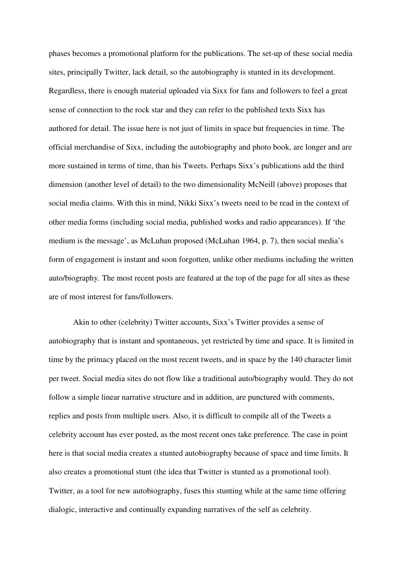phases becomes a promotional platform for the publications. The set-up of these social media sites, principally Twitter, lack detail, so the autobiography is stunted in its development. Regardless, there is enough material uploaded via Sixx for fans and followers to feel a great sense of connection to the rock star and they can refer to the published texts Sixx has authored for detail. The issue here is not just of limits in space but frequencies in time. The official merchandise of Sixx, including the autobiography and photo book, are longer and are more sustained in terms of time, than his Tweets. Perhaps Sixx's publications add the third dimension (another level of detail) to the two dimensionality McNeill (above) proposes that social media claims. With this in mind, Nikki Sixx's tweets need to be read in the context of other media forms (including social media, published works and radio appearances). If 'the medium is the message', as McLuhan proposed (McLuhan 1964, p. 7), then social media's form of engagement is instant and soon forgotten, unlike other mediums including the written auto/biography. The most recent posts are featured at the top of the page for all sites as these are of most interest for fans/followers.

Akin to other (celebrity) Twitter accounts, Sixx's Twitter provides a sense of autobiography that is instant and spontaneous, yet restricted by time and space. It is limited in time by the primacy placed on the most recent tweets, and in space by the 140 character limit per tweet. Social media sites do not flow like a traditional auto/biography would. They do not follow a simple linear narrative structure and in addition, are punctured with comments, replies and posts from multiple users. Also, it is difficult to compile all of the Tweets a celebrity account has ever posted, as the most recent ones take preference. The case in point here is that social media creates a stunted autobiography because of space and time limits. It also creates a promotional stunt (the idea that Twitter is stunted as a promotional tool). Twitter, as a tool for new autobiography, fuses this stunting while at the same time offering dialogic, interactive and continually expanding narratives of the self as celebrity.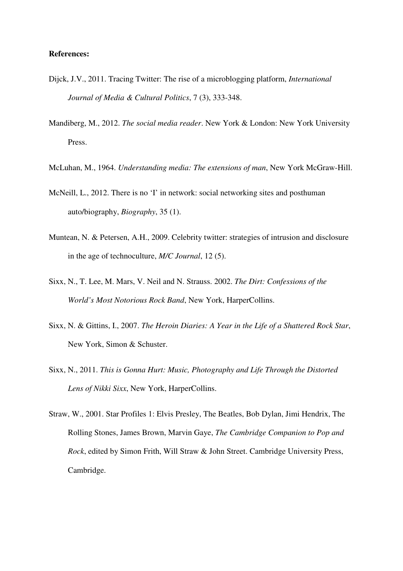## **References:**

- Dijck, J.V., 2011. Tracing Twitter: The rise of a microblogging platform, *International Journal of Media & Cultural Politics*, 7 (3), 333-348.
- Mandiberg, M., 2012. *The social media reader*. New York & London: New York University Press.
- McLuhan, M., 1964. *Understanding media: The extensions of man*, New York McGraw-Hill.
- McNeill, L., 2012. There is no 'I' in network: social networking sites and posthuman auto/biography, *Biography*, 35 (1).
- Muntean, N. & Petersen, A.H., 2009. Celebrity twitter: strategies of intrusion and disclosure in the age of technoculture, *M/C Journal*, 12 (5).
- Sixx, N., T. Lee, M. Mars, V. Neil and N. Strauss. 2002. *The Dirt: Confessions of the World's Most Notorious Rock Band*, New York, HarperCollins.
- Sixx, N. & Gittins, I., 2007. *The Heroin Diaries: A Year in the Life of a Shattered Rock Star*, New York, Simon & Schuster.
- Sixx, N., 2011. *This is Gonna Hurt: Music, Photography and Life Through the Distorted Lens of Nikki Sixx*, New York, HarperCollins.
- Straw, W., 2001. Star Profiles 1: Elvis Presley, The Beatles, Bob Dylan, Jimi Hendrix, The Rolling Stones, James Brown, Marvin Gaye, *The Cambridge Companion to Pop and Rock*, edited by Simon Frith, Will Straw & John Street. Cambridge University Press, Cambridge.